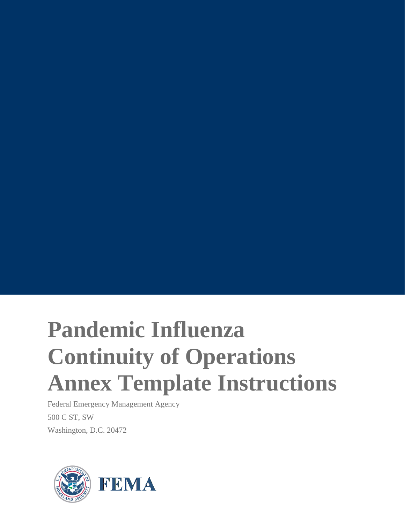# **Pandemic Influenza Continuity of Operations Annex Template Instructions**

Federal Emergency Management Agency 500 C ST, SW Washington, D.C. 20472

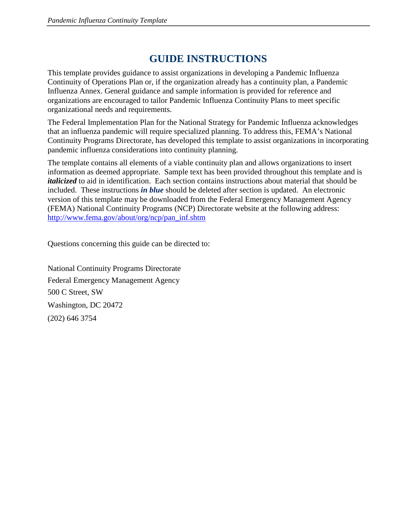# **GUIDE INSTRUCTIONS**

This template provides guidance to assist organizations in developing a Pandemic Influenza Continuity of Operations Plan or, if the organization already has a continuity plan, a Pandemic Influenza Annex. General guidance and sample information is provided for reference and organizations are encouraged to tailor Pandemic Influenza Continuity Plans to meet specific organizational needs and requirements.

The Federal Implementation Plan for the National Strategy for Pandemic Influenza acknowledges that an influenza pandemic will require specialized planning. To address this, FEMA's National Continuity Programs Directorate, has developed this template to assist organizations in incorporating pandemic influenza considerations into continuity planning.

The template contains all elements of a viable continuity plan and allows organizations to insert information as deemed appropriate. Sample text has been provided throughout this template and is *italicized* to aid in identification. Each section contains instructions about material that should be included. These instructions *in blue* should be deleted after section is updated. An electronic version of this template may be downloaded from the Federal Emergency Management Agency (FEMA) National Continuity Programs (NCP) Directorate website at the following address: [http://www.fema.gov/about/org/ncp/pan\\_inf.shtm](http://www.fema.gov/about/org/ncp/pan_inf.shtm)

Questions concerning this guide can be directed to:

National Continuity Programs Directorate Federal Emergency Management Agency 500 C Street, SW Washington, DC 20472 (202) 646 3754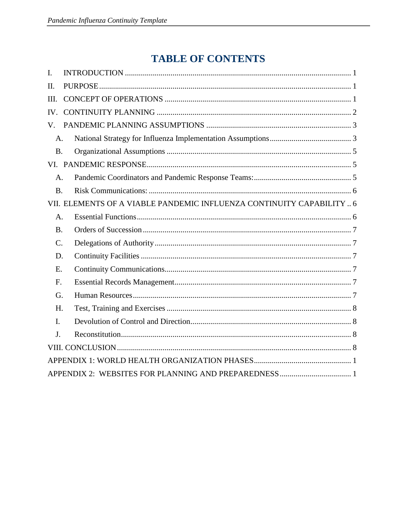# **TABLE OF CONTENTS**

| I.              |                                                                       |  |  |  |  |
|-----------------|-----------------------------------------------------------------------|--|--|--|--|
| II.             |                                                                       |  |  |  |  |
| III.            |                                                                       |  |  |  |  |
| IV.             |                                                                       |  |  |  |  |
| V.              |                                                                       |  |  |  |  |
| A.              |                                                                       |  |  |  |  |
| <b>B.</b>       |                                                                       |  |  |  |  |
|                 |                                                                       |  |  |  |  |
| A.              |                                                                       |  |  |  |  |
| <b>B.</b>       |                                                                       |  |  |  |  |
|                 | VII. ELEMENTS OF A VIABLE PANDEMIC INFLUENZA CONTINUITY CAPABILITY  6 |  |  |  |  |
| A.              |                                                                       |  |  |  |  |
| <b>B.</b>       |                                                                       |  |  |  |  |
| $\mathcal{C}$ . |                                                                       |  |  |  |  |
| D.              |                                                                       |  |  |  |  |
| E.              |                                                                       |  |  |  |  |
| F.              |                                                                       |  |  |  |  |
| G.              |                                                                       |  |  |  |  |
| H.              |                                                                       |  |  |  |  |
| $\mathbf{I}$ .  |                                                                       |  |  |  |  |
| J <sub>1</sub>  |                                                                       |  |  |  |  |
|                 |                                                                       |  |  |  |  |
|                 |                                                                       |  |  |  |  |
|                 |                                                                       |  |  |  |  |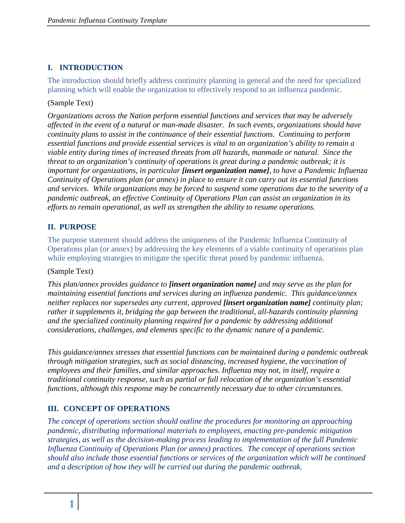# <span id="page-3-0"></span>**I. INTRODUCTION**

The introduction should briefly address continuity planning in general and the need for specialized planning which will enable the organization to effectively respond to an influenza pandemic.

#### (Sample Text)

*Organizations across the Nation perform essential functions and services that may be adversely affected in the event of a natural or man-made disaster. In such events, organizations should have continuity plans to assist in the continuance of their essential functions. Continuing to perform essential functions and provide essential services is vital to an organization's ability to remain a viable entity during times of increased threats from all hazards, manmade or natural. Since the threat to an organization's continuity of operations is great during a pandemic outbreak; it is important for organizations, in particular [insert organization name], to have a Pandemic Influenza Continuity of Operations plan (or annex) in place to ensure it can carry out its essential functions and services. While organizations may be forced to suspend some operations due to the severity of a pandemic outbreak, an effective Continuity of Operations Plan can assist an organization in its efforts to remain operational, as well as strengthen the ability to resume operations.*

# <span id="page-3-1"></span>**II. PURPOSE**

The purpose statement should address the uniqueness of the Pandemic Influenza Continuity of Operations plan (or annex) by addressing the key elements of a viable continuity of operations plan while employing strategies to mitigate the specific threat posed by pandemic influenza.

#### (Sample Text)

*This plan/annex provides guidance to [insert organization name] and may serve as the plan for maintaining essential functions and services during an influenza pandemic. This guidance/annex neither replaces nor supersedes any current, approved [insert organization name] continuity plan; rather it supplements it, bridging the gap between the traditional, all-hazards continuity planning and the specialized continuity planning required for a pandemic by addressing additional considerations, challenges, and elements specific to the dynamic nature of a pandemic.* 

*This guidance/annex stresses that essential functions can be maintained during a pandemic outbreak through mitigation strategies, such as social distancing, increased hygiene, the vaccination of employees and their families, and similar approaches. Influenza may not, in itself, require a traditional continuity response, such as partial or full relocation of the organization's essential functions, although this response may be concurrently necessary due to other circumstances.* 

# <span id="page-3-2"></span>**III. CONCEPT OF OPERATIONS**

*The concept of operations section should outline the procedures for monitoring an approaching pandemic, distributing informational materials to employees, enacting pre-pandemic mitigation strategies, as well as the decision-making process leading to implementation of the full Pandemic Influenza Continuity of Operations Plan (or annex) practices. The concept of operations section should also include those essential functions or services of the organization which will be continued and a description of how they will be carried out during the pandemic outbreak.*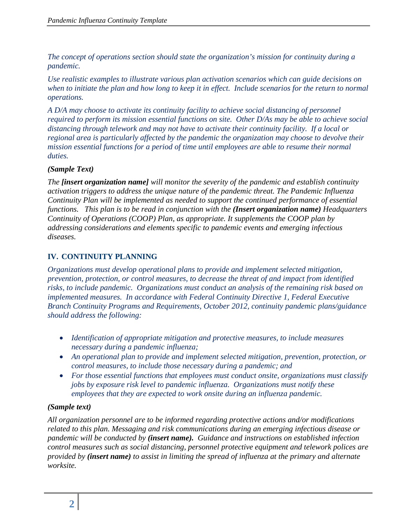*The concept of operations section should state the organization's mission for continuity during a pandemic.* 

*Use realistic examples to illustrate various plan activation scenarios which can guide decisions on when to initiate the plan and how long to keep it in effect. Include scenarios for the return to normal operations.* 

*A D/A may choose to activate its continuity facility to achieve social distancing of personnel required to perform its mission essential functions on site. Other D/As may be able to achieve social distancing through telework and may not have to activate their continuity facility. If a local or regional area is particularly affected by the pandemic the organization may choose to devolve their mission essential functions for a period of time until employees are able to resume their normal duties.* 

#### *(Sample Text)*

*The [insert organization name] will monitor the severity of the pandemic and establish continuity activation triggers to address the unique nature of the pandemic threat. The Pandemic Influenza Continuity Plan will be implemented as needed to support the continued performance of essential functions. This plan is to be read in conjunction with the (Insert organization name) Headquarters Continuity of Operations (COOP) Plan, as appropriate. It supplements the COOP plan by addressing considerations and elements specific to pandemic events and emerging infectious diseases.*

#### <span id="page-4-0"></span>**IV. CONTINUITY PLANNING**

*Organizations must develop operational plans to provide and implement selected mitigation, prevention, protection, or control measures, to decrease the threat of and impact from identified risks, to include pandemic. Organizations must conduct an analysis of the remaining risk based on implemented measures. In accordance with Federal Continuity Directive 1, Federal Executive Branch Continuity Programs and Requirements, October 2012, continuity pandemic plans/guidance should address the following:*

- *Identification of appropriate mitigation and protective measures, to include measures necessary during a pandemic influenza;*
- *An operational plan to provide and implement selected mitigation, prevention, protection, or control measures, to include those necessary during a pandemic; and*
- *For those essential functions that employees must conduct onsite, organizations must classify jobs by exposure risk level to pandemic influenza. Organizations must notify these employees that they are expected to work onsite during an influenza pandemic.*

#### *(Sample text)*

*All organization personnel are to be informed regarding protective actions and/or modifications related to this plan. Messaging and risk communications during an emerging infectious disease or pandemic will be conducted by (insert name). Guidance and instructions on established infection control measures such as social distancing, personnel protective equipment and telework polices are provided by (insert name) to assist in limiting the spread of influenza at the primary and alternate worksite.*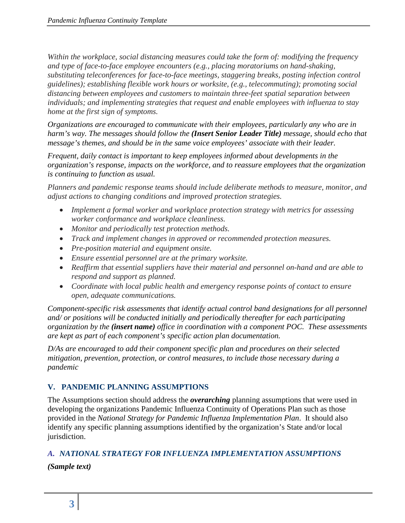*Within the workplace, social distancing measures could take the form of: modifying the frequency and type of face-to-face employee encounters (e.g., placing moratoriums on hand-shaking, substituting teleconferences for face-to-face meetings, staggering breaks, posting infection control guidelines); establishing flexible work hours or worksite, (e.g., telecommuting); promoting social distancing between employees and customers to maintain three-feet spatial separation between individuals; and implementing strategies that request and enable employees with influenza to stay home at the first sign of symptoms.*

*Organizations are encouraged to communicate with their employees, particularly any who are in harm's way. The messages should follow the (Insert Senior Leader Title) message, should echo that message's themes, and should be in the same voice employees' associate with their leader.*

*Frequent, daily contact is important to keep employees informed about developments in the organization's response, impacts on the workforce, and to reassure employees that the organization is continuing to function as usual.*

*Planners and pandemic response teams should include deliberate methods to measure, monitor, and adjust actions to changing conditions and improved protection strategies.*

- *Implement a formal worker and workplace protection strategy with metrics for assessing worker conformance and workplace cleanliness.*
- *Monitor and periodically test protection methods.*
- *Track and implement changes in approved or recommended protection measures.*
- *Pre-position material and equipment onsite.*
- *Ensure essential personnel are at the primary worksite.*
- *Reaffirm that essential suppliers have their material and personnel on-hand and are able to respond and support as planned.*
- *Coordinate with local public health and emergency response points of contact to ensure open, adequate communications.*

*Component-specific risk assessments that identify actual control band designations for all personnel and/ or positions will be conducted initially and periodically thereafter for each participating organization by the (insert name) office in coordination with a component POC. These assessments are kept as part of each component's specific action plan documentation.*

*D/As are encouraged to add their component specific plan and procedures on their selected mitigation, prevention, protection, or control measures, to include those necessary during a pandemic*

# <span id="page-5-0"></span>**V. PANDEMIC PLANNING ASSUMPTIONS**

The Assumptions section should address the *overarching* planning assumptions that were used in developing the organizations Pandemic Influenza Continuity of Operations Plan such as those provided in the *National Strategy for Pandemic Influenza Implementation Plan*. It should also identify any specific planning assumptions identified by the organization's State and/or local jurisdiction.

# <span id="page-5-1"></span>*A. NATIONAL STRATEGY FOR INFLUENZA IMPLEMENTATION ASSUMPTIONS*

*(Sample text)*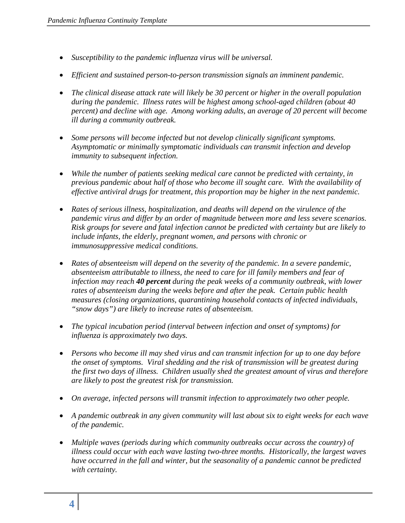- *Susceptibility to the pandemic influenza virus will be universal.*
- *Efficient and sustained person-to-person transmission signals an imminent pandemic.*
- *The clinical disease attack rate will likely be 30 percent or higher in the overall population during the pandemic. Illness rates will be highest among school-aged children (about 40 percent) and decline with age. Among working adults, an average of 20 percent will become ill during a community outbreak.*
- *Some persons will become infected but not develop clinically significant symptoms. Asymptomatic or minimally symptomatic individuals can transmit infection and develop immunity to subsequent infection.*
- *While the number of patients seeking medical care cannot be predicted with certainty, in previous pandemic about half of those who become ill sought care. With the availability of effective antiviral drugs for treatment, this proportion may be higher in the next pandemic.*
- *Rates of serious illness, hospitalization, and deaths will depend on the virulence of the pandemic virus and differ by an order of magnitude between more and less severe scenarios. Risk groups for severe and fatal infection cannot be predicted with certainty but are likely to include infants, the elderly, pregnant women, and persons with chronic or immunosuppressive medical conditions.*
- *Rates of absenteeism will depend on the severity of the pandemic. In a severe pandemic, absenteeism attributable to illness, the need to care for ill family members and fear of infection may reach 40 percent during the peak weeks of a community outbreak, with lower rates of absenteeism during the weeks before and after the peak. Certain public health measures (closing organizations, quarantining household contacts of infected individuals, "snow days") are likely to increase rates of absenteeism.*
- *The typical incubation period (interval between infection and onset of symptoms) for influenza is approximately two days.*
- *Persons who become ill may shed virus and can transmit infection for up to one day before the onset of symptoms. Viral shedding and the risk of transmission will be greatest during the first two days of illness. Children usually shed the greatest amount of virus and therefore are likely to post the greatest risk for transmission.*
- *On average, infected persons will transmit infection to approximately two other people.*
- A pandemic outbreak in any given community will last about six to eight weeks for each wave *of the pandemic.*
- *Multiple waves (periods during which community outbreaks occur across the country) of illness could occur with each wave lasting two-three months. Historically, the largest waves have occurred in the fall and winter, but the seasonality of a pandemic cannot be predicted with certainty.*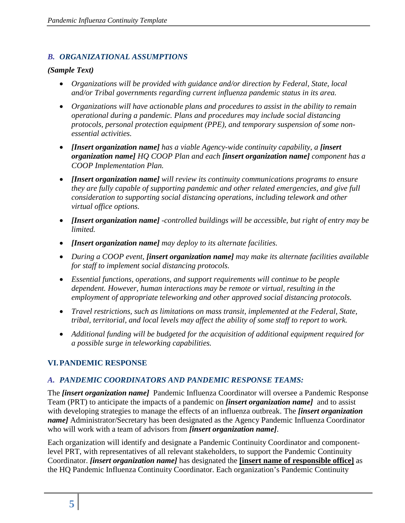#### <span id="page-7-0"></span>*B. ORGANIZATIONAL ASSUMPTIONS*

#### *(Sample Text)*

- *Organizations will be provided with guidance and/or direction by Federal, State, local and/or Tribal governments regarding current influenza pandemic status in its area.*
- *Organizations will have actionable plans and procedures to assist in the ability to remain operational during a pandemic. Plans and procedures may include social distancing protocols, personal protection equipment (PPE), and temporary suspension of some nonessential activities.*
- *Insert organization name]* has a viable Agency-wide continuity capability, a *finsert organization name] HQ COOP Plan and each [insert organization name] component has a COOP Implementation Plan.*
- *[Insert organization name] will review its continuity communications programs to ensure they are fully capable of supporting pandemic and other related emergencies, and give full consideration to supporting social distancing operations, including telework and other virtual office options.*
- *[Insert organization name] -controlled buildings will be accessible, but right of entry may be limited.*
- *[Insert organization name] may deploy to its alternate facilities.*
- *During a COOP event, [insert organization name] may make its alternate facilities available for staff to implement social distancing protocols.*
- *Essential functions, operations, and support requirements will continue to be people dependent. However, human interactions may be remote or virtual, resulting in the employment of appropriate teleworking and other approved social distancing protocols.*
- *Travel restrictions, such as limitations on mass transit, implemented at the Federal, State, tribal, territorial, and local levels may affect the ability of some staff to report to work.*
- *Additional funding will be budgeted for the acquisition of additional equipment required for a possible surge in teleworking capabilities.*

# <span id="page-7-1"></span>**VI.PANDEMIC RESPONSE**

# <span id="page-7-2"></span>*A. PANDEMIC COORDINATORS AND PANDEMIC RESPONSE TEAMS:*

The *[insert organization name]* Pandemic Influenza Coordinator will oversee a Pandemic Response Team (PRT) to anticipate the impacts of a pandemic on *[insert organization name]* and to assist with developing strategies to manage the effects of an influenza outbreak. The *[insert organization name]* Administrator/Secretary has been designated as the Agency Pandemic Influenza Coordinator who will work with a team of advisors from *[insert organization name]*.

Each organization will identify and designate a Pandemic Continuity Coordinator and componentlevel PRT, with representatives of all relevant stakeholders, to support the Pandemic Continuity Coordinator. *[insert organization name]* has designated the **[insert name of responsible office]** as the HQ Pandemic Influenza Continuity Coordinator. Each organization's Pandemic Continuity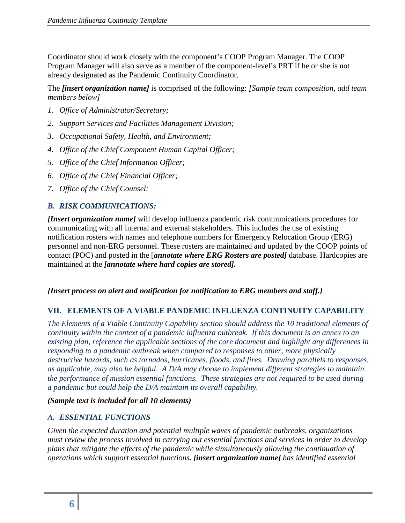Coordinator should work closely with the component's COOP Program Manager. The COOP Program Manager will also serve as a member of the component-level's PRT if he or she is not already designated as the Pandemic Continuity Coordinator.

The *[insert organization name]* is comprised of the following: *[Sample team composition, add team members below]*

- *1. Office of Administrator/Secretary;*
- *2. Support Services and Facilities Management Division;*
- *3. Occupational Safety, Health, and Environment;*
- *4. Office of the Chief Component Human Capital Officer;*
- *5. Office of the Chief Information Officer;*
- *6. Office of the Chief Financial Officer;*
- *7. Office of the Chief Counsel;*

# <span id="page-8-0"></span>*B. RISK COMMUNICATIONS:*

*[Insert organization name]* will develop influenza pandemic risk communications procedures for communicating with all internal and external stakeholders. This includes the use of existing notification rosters with names and telephone numbers for Emergency Relocation Group (ERG) personnel and non-ERG personnel. These rosters are maintained and updated by the COOP points of contact (POC) and posted in the [*annotate where ERG Rosters are posted]* database. Hardcopies are maintained at the *[annotate where hard copies are stored].*

#### *{Insert process on alert and notification for notification to ERG members and staff.]*

# <span id="page-8-1"></span>**VII. ELEMENTS OF A VIABLE PANDEMIC INFLUENZA CONTINUITY CAPABILITY**

*The Elements of a Viable Continuity Capability section should address the 10 traditional elements of continuity within the context of a pandemic influenza outbreak. If this document is an annex to an existing plan, reference the applicable sections of the core document and highlight any differences in responding to a pandemic outbreak when compared to responses to other, more physically destructive hazards, such as tornados, hurricanes, floods, and fires. Drawing parallels to responses, as applicable, may also be helpful. A D/A may choose to implement different strategies to maintain the performance of mission essential functions. These strategies are not required to be used during a pandemic but could help the D/A maintain its overall capability.*

#### <span id="page-8-2"></span>*(Sample text is included for all 10 elements)*

#### *A. ESSENTIAL FUNCTIONS*

*Given the expected duration and potential multiple waves of pandemic outbreaks, organizations must review the process involved in carrying out essential functions and services in order to develop plans that mitigate the effects of the pandemic while simultaneously allowing the continuation of operations which support essential functions. [insert organization name] has identified essential*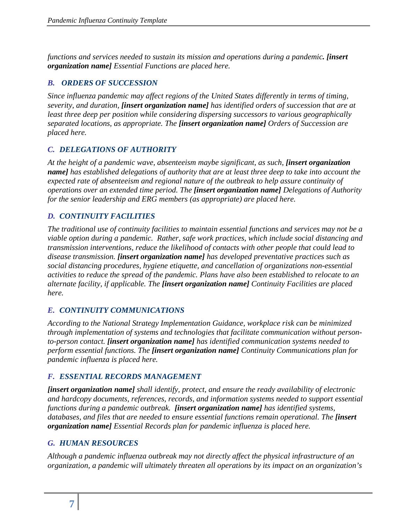*functions and services needed to sustain its mission and operations during a pandemic. [insert organization name] Essential Functions are placed here.*

# <span id="page-9-0"></span>*B. ORDERS OF SUCCESSION*

*Since influenza pandemic may affect regions of the United States differently in terms of timing, severity, and duration, [insert organization name] has identified orders of succession that are at least three deep per position while considering dispersing successors to various geographically separated locations, as appropriate. The [insert organization name] Orders of Succession are placed here.*

# <span id="page-9-1"></span>*C. DELEGATIONS OF AUTHORITY*

*At the height of a pandemic wave, absenteeism maybe significant, as such, [insert organization name] has established delegations of authority that are at least three deep to take into account the expected rate of absenteeism and regional nature of the outbreak to help assure continuity of operations over an extended time period. The [insert organization name] Delegations of Authority for the senior leadership and ERG members (as appropriate) are placed here.* 

# <span id="page-9-2"></span>*D. CONTINUITY FACILITIES*

*The traditional use of continuity facilities to maintain essential functions and services may not be a viable option during a pandemic. Rather, safe work practices, which include social distancing and transmission interventions, reduce the likelihood of contacts with other people that could lead to disease transmission. [insert organization name] has developed preventative practices such as social distancing procedures, hygiene etiquette, and cancellation of organizations non-essential activities to reduce the spread of the pandemic. Plans have also been established to relocate to an alternate facility, if applicable. The [insert organization name] Continuity Facilities are placed here.*

# <span id="page-9-3"></span>*E. CONTINUITY COMMUNICATIONS*

*According to the National Strategy Implementation Guidance, workplace risk can be minimized through implementation of systems and technologies that facilitate communication without personto-person contact. [insert organization name] has identified communication systems needed to perform essential functions. The [insert organization name] Continuity Communications plan for pandemic influenza is placed here.* 

#### <span id="page-9-4"></span>*F. ESSENTIAL RECORDS MANAGEMENT*

*[insert organization name] shall identify, protect, and ensure the ready availability of electronic and hardcopy documents, references, records, and information systems needed to support essential functions during a pandemic outbreak. [insert organization name] has identified systems, databases, and files that are needed to ensure essential functions remain operational. The [insert organization name] Essential Records plan for pandemic influenza is placed here.* 

# <span id="page-9-5"></span>*G. HUMAN RESOURCES*

*Although a pandemic influenza outbreak may not directly affect the physical infrastructure of an organization, a pandemic will ultimately threaten all operations by its impact on an organization's*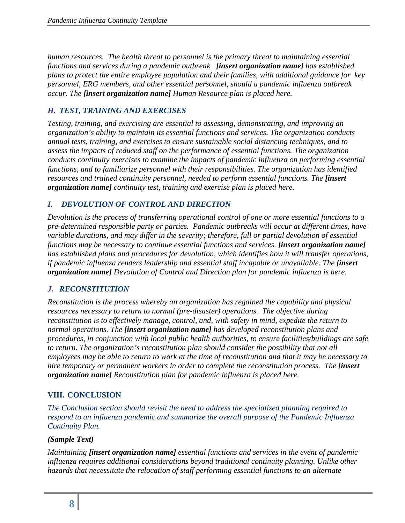*human resources. The health threat to personnel is the primary threat to maintaining essential functions and services during a pandemic outbreak. [insert organization name] has established plans to protect the entire employee population and their families, with additional guidance for key personnel, ERG members, and other essential personnel, should a pandemic influenza outbreak occur. The [insert organization name] Human Resource plan is placed here.* 

# <span id="page-10-0"></span>*H. TEST, TRAINING AND EXERCISES*

*Testing, training, and exercising are essential to assessing, demonstrating, and improving an organization's ability to maintain its essential functions and services. The organization conducts annual tests, training, and exercises to ensure sustainable social distancing techniques, and to assess the impacts of reduced staff on the performance of essential functions. The organization conducts continuity exercises to examine the impacts of pandemic influenza on performing essential functions, and to familiarize personnel with their responsibilities. The organization has identified resources and trained continuity personnel, needed to perform essential functions. The [insert organization name] continuity test, training and exercise plan is placed here.* 

#### <span id="page-10-1"></span>*I. DEVOLUTION OF CONTROL AND DIRECTION*

*Devolution is the process of transferring operational control of one or more essential functions to a pre-determined responsible party or parties. Pandemic outbreaks will occur at different times, have variable durations, and may differ in the severity; therefore, full or partial devolution of essential functions may be necessary to continue essential functions and services. [insert organization name] has established plans and procedures for devolution, which identifies how it will transfer operations, if pandemic influenza renders leadership and essential staff incapable or unavailable. The [insert organization name] Devolution of Control and Direction plan for pandemic influenza is here.* 

#### <span id="page-10-2"></span>*J. RECONSTITUTION*

*Reconstitution is the process whereby an organization has regained the capability and physical resources necessary to return to normal (pre-disaster) operations. The objective during reconstitution is to effectively manage, control, and, with safety in mind, expedite the return to normal operations. The [insert organization name] has developed reconstitution plans and procedures, in conjunction with local public health authorities, to ensure facilities/buildings are safe to return. The organization's reconstitution plan should consider the possibility that not all employees may be able to return to work at the time of reconstitution and that it may be necessary to hire temporary or permanent workers in order to complete the reconstitution process. The [insert organization name] Reconstitution plan for pandemic influenza is placed here.* 

#### <span id="page-10-3"></span>**VIII. CONCLUSION**

*The Conclusion section should revisit the need to address the specialized planning required to respond to an influenza pandemic and summarize the overall purpose of the Pandemic Influenza Continuity Plan.* 

#### *(Sample Text)*

*Maintaining [insert organization name] essential functions and services in the event of pandemic influenza requires additional considerations beyond traditional continuity planning. Unlike other hazards that necessitate the relocation of staff performing essential functions to an alternate*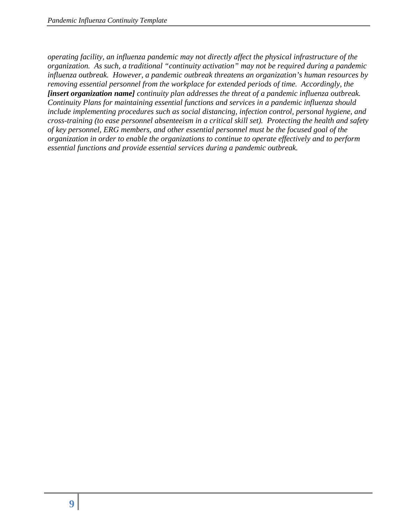*operating facility, an influenza pandemic may not directly affect the physical infrastructure of the organization. As such, a traditional "continuity activation" may not be required during a pandemic influenza outbreak. However, a pandemic outbreak threatens an organization's human resources by removing essential personnel from the workplace for extended periods of time. Accordingly, the [insert organization name] continuity plan addresses the threat of a pandemic influenza outbreak. Continuity Plans for maintaining essential functions and services in a pandemic influenza should include implementing procedures such as social distancing, infection control, personal hygiene, and cross-training (to ease personnel absenteeism in a critical skill set). Protecting the health and safety of key personnel, ERG members, and other essential personnel must be the focused goal of the organization in order to enable the organizations to continue to operate effectively and to perform essential functions and provide essential services during a pandemic outbreak.*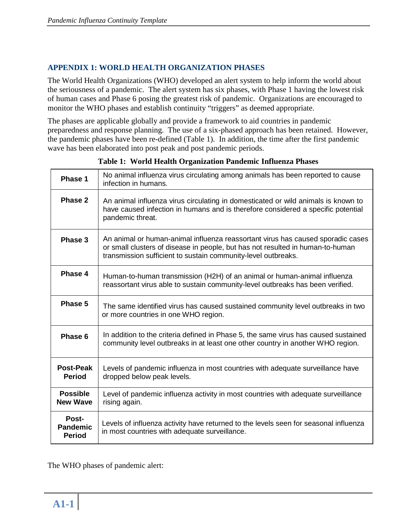#### <span id="page-12-0"></span>**APPENDIX 1: WORLD HEALTH ORGANIZATION PHASES**

The World Health Organizations (WHO) developed an alert system to help inform the world about the seriousness of a pandemic. The alert system has six phases, with Phase 1 having the lowest risk of human cases and Phase 6 posing the greatest risk of pandemic. Organizations are encouraged to monitor the WHO phases and establish continuity "triggers" as deemed appropriate.

The phases are applicable globally and provide a framework to aid countries in pandemic preparedness and response planning. The use of a six-phased approach has been retained. However, the pandemic phases have been re-defined (Table 1). In addition, the time after the first pandemic wave has been elaborated into post peak and post pandemic periods.

| Phase 1                                   | No animal influenza virus circulating among animals has been reported to cause<br>infection in humans.                                                                                                                             |  |  |  |
|-------------------------------------------|------------------------------------------------------------------------------------------------------------------------------------------------------------------------------------------------------------------------------------|--|--|--|
| Phase 2                                   | An animal influenza virus circulating in domesticated or wild animals is known to<br>have caused infection in humans and is therefore considered a specific potential<br>pandemic threat.                                          |  |  |  |
| Phase 3                                   | An animal or human-animal influenza reassortant virus has caused sporadic cases<br>or small clusters of disease in people, but has not resulted in human-to-human<br>transmission sufficient to sustain community-level outbreaks. |  |  |  |
| Phase 4                                   | Human-to-human transmission (H2H) of an animal or human-animal influenza<br>reassortant virus able to sustain community-level outbreaks has been verified.                                                                         |  |  |  |
| Phase 5                                   | The same identified virus has caused sustained community level outbreaks in two<br>or more countries in one WHO region.                                                                                                            |  |  |  |
| Phase 6                                   | In addition to the criteria defined in Phase 5, the same virus has caused sustained<br>community level outbreaks in at least one other country in another WHO region.                                                              |  |  |  |
| Post-Peak<br><b>Period</b>                | Levels of pandemic influenza in most countries with adequate surveillance have<br>dropped below peak levels.                                                                                                                       |  |  |  |
| <b>Possible</b><br><b>New Wave</b>        | Level of pandemic influenza activity in most countries with adequate surveillance<br>rising again.                                                                                                                                 |  |  |  |
| Post-<br><b>Pandemic</b><br><b>Period</b> | Levels of influenza activity have returned to the levels seen for seasonal influenza<br>in most countries with adequate surveillance.                                                                                              |  |  |  |

| Table 1: World Health Organization Pandemic Influenza Phases |  |  |
|--------------------------------------------------------------|--|--|
|                                                              |  |  |

The WHO phases of pandemic alert: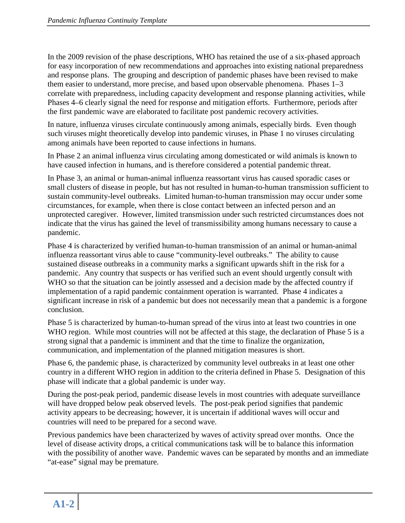In the 2009 revision of the phase descriptions, WHO has retained the use of a six-phased approach for easy incorporation of new recommendations and approaches into existing national preparedness and response plans. The grouping and description of pandemic phases have been revised to make them easier to understand, more precise, and based upon observable phenomena. Phases 1–3 correlate with preparedness, including capacity development and response planning activities, while Phases 4–6 clearly signal the need for response and mitigation efforts. Furthermore, periods after the first pandemic wave are elaborated to facilitate post pandemic recovery activities.

In nature, influenza viruses circulate continuously among animals, especially birds. Even though such viruses might theoretically develop into pandemic viruses, in Phase 1 no viruses circulating among animals have been reported to cause infections in humans.

In Phase 2 an animal influenza virus circulating among domesticated or wild animals is known to have caused infection in humans, and is therefore considered a potential pandemic threat.

In Phase 3, an animal or human-animal influenza reassortant virus has caused sporadic cases or small clusters of disease in people, but has not resulted in human-to-human transmission sufficient to sustain community-level outbreaks. Limited human-to-human transmission may occur under some circumstances, for example, when there is close contact between an infected person and an unprotected caregiver. However, limited transmission under such restricted circumstances does not indicate that the virus has gained the level of transmissibility among humans necessary to cause a pandemic.

Phase 4 is characterized by verified human-to-human transmission of an animal or human-animal influenza reassortant virus able to cause "community-level outbreaks." The ability to cause sustained disease outbreaks in a community marks a significant upwards shift in the risk for a pandemic. Any country that suspects or has verified such an event should urgently consult with WHO so that the situation can be jointly assessed and a decision made by the affected country if implementation of a rapid pandemic containment operation is warranted. Phase 4 indicates a significant increase in risk of a pandemic but does not necessarily mean that a pandemic is a forgone conclusion.

Phase 5 is characterized by human-to-human spread of the virus into at least two countries in one WHO region. While most countries will not be affected at this stage, the declaration of Phase 5 is a strong signal that a pandemic is imminent and that the time to finalize the organization, communication, and implementation of the planned mitigation measures is short.

Phase 6, the pandemic phase, is characterized by community level outbreaks in at least one other country in a different WHO region in addition to the criteria defined in Phase 5. Designation of this phase will indicate that a global pandemic is under way.

During the post-peak period, pandemic disease levels in most countries with adequate surveillance will have dropped below peak observed levels. The post-peak period signifies that pandemic activity appears to be decreasing; however, it is uncertain if additional waves will occur and countries will need to be prepared for a second wave.

Previous pandemics have been characterized by waves of activity spread over months. Once the level of disease activity drops, a critical communications task will be to balance this information with the possibility of another wave. Pandemic waves can be separated by months and an immediate "at-ease" signal may be premature.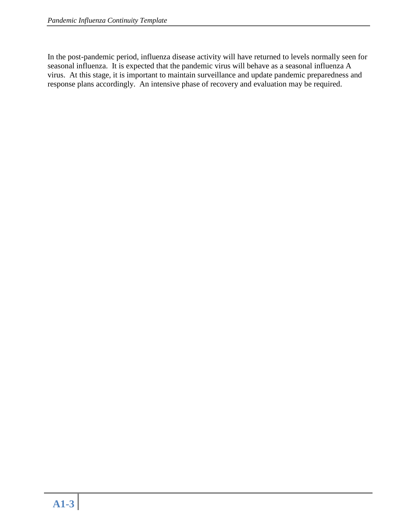In the post-pandemic period, influenza disease activity will have returned to levels normally seen for seasonal influenza. It is expected that the pandemic virus will behave as a seasonal influenza A virus. At this stage, it is important to maintain surveillance and update pandemic preparedness and response plans accordingly. An intensive phase of recovery and evaluation may be required.